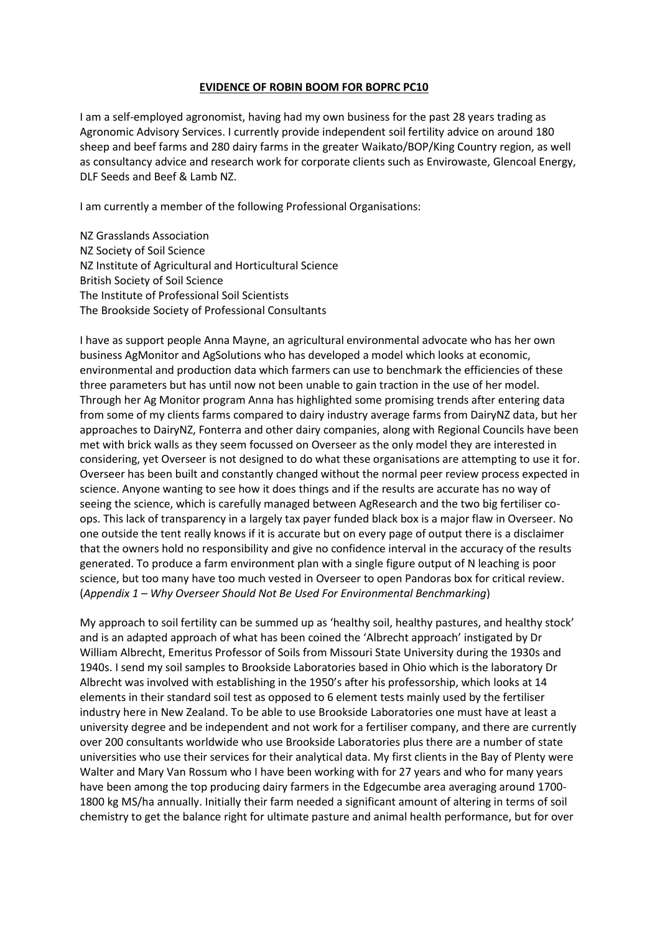## **EVIDENCE OF ROBIN BOOM FOR BOPRC PC10**

I am a self-employed agronomist, having had my own business for the past 28 years trading as Agronomic Advisory Services. I currently provide independent soil fertility advice on around 180 sheep and beef farms and 280 dairy farms in the greater Waikato/BOP/King Country region, as well as consultancy advice and research work for corporate clients such as Envirowaste, Glencoal Energy, DLF Seeds and Beef & Lamb NZ.

I am currently a member of the following Professional Organisations:

NZ Grasslands Association NZ Society of Soil Science NZ Institute of Agricultural and Horticultural Science British Society of Soil Science The Institute of Professional Soil Scientists The Brookside Society of Professional Consultants

I have as support people Anna Mayne, an agricultural environmental advocate who has her own business AgMonitor and AgSolutions who has developed a model which looks at economic, environmental and production data which farmers can use to benchmark the efficiencies of these three parameters but has until now not been unable to gain traction in the use of her model. Through her Ag Monitor program Anna has highlighted some promising trends after entering data from some of my clients farms compared to dairy industry average farms from DairyNZ data, but her approaches to DairyNZ, Fonterra and other dairy companies, along with Regional Councils have been met with brick walls as they seem focussed on Overseer as the only model they are interested in considering, yet Overseer is not designed to do what these organisations are attempting to use it for. Overseer has been built and constantly changed without the normal peer review process expected in science. Anyone wanting to see how it does things and if the results are accurate has no way of seeing the science, which is carefully managed between AgResearch and the two big fertiliser coops. This lack of transparency in a largely tax payer funded black box is a major flaw in Overseer. No one outside the tent really knows if it is accurate but on every page of output there is a disclaimer that the owners hold no responsibility and give no confidence interval in the accuracy of the results generated. To produce a farm environment plan with a single figure output of N leaching is poor science, but too many have too much vested in Overseer to open Pandoras box for critical review. (*Appendix 1 – Why Overseer Should Not Be Used For Environmental Benchmarking*)

My approach to soil fertility can be summed up as 'healthy soil, healthy pastures, and healthy stock' and is an adapted approach of what has been coined the 'Albrecht approach' instigated by Dr William Albrecht, Emeritus Professor of Soils from Missouri State University during the 1930s and 1940s. I send my soil samples to Brookside Laboratories based in Ohio which is the laboratory Dr Albrecht was involved with establishing in the 1950's after his professorship, which looks at 14 elements in their standard soil test as opposed to 6 element tests mainly used by the fertiliser industry here in New Zealand. To be able to use Brookside Laboratories one must have at least a university degree and be independent and not work for a fertiliser company, and there are currently over 200 consultants worldwide who use Brookside Laboratories plus there are a number of state universities who use their services for their analytical data. My first clients in the Bay of Plenty were Walter and Mary Van Rossum who I have been working with for 27 years and who for many years have been among the top producing dairy farmers in the Edgecumbe area averaging around 1700- 1800 kg MS/ha annually. Initially their farm needed a significant amount of altering in terms of soil chemistry to get the balance right for ultimate pasture and animal health performance, but for over